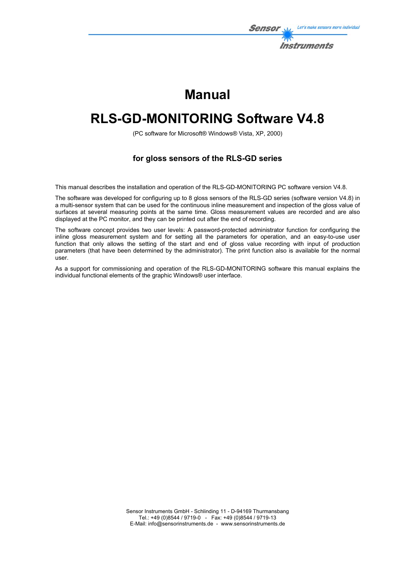

# **Manual**

# **RLS-GD-MONITORING Software V4.8**

(PC software for Microsoft® Windows® Vista, XP, 2000)

#### **for gloss sensors of the RLS-GD series**

This manual describes the installation and operation of the RLS-GD-MONITORING PC software version V4.8.

The software was developed for configuring up to 8 gloss sensors of the RLS-GD series (software version V4.8) in a multi-sensor system that can be used for the continuous inline measurement and inspection of the gloss value of surfaces at several measuring points at the same time. Gloss measurement values are recorded and are also displayed at the PC monitor, and they can be printed out after the end of recording.

The software concept provides two user levels: A password-protected administrator function for configuring the inline gloss measurement system and for setting all the parameters for operation, and an easy-to-use user function that only allows the setting of the start and end of gloss value recording with input of production parameters (that have been determined by the administrator). The print function also is available for the normal user.

As a support for commissioning and operation of the RLS-GD-MONITORING software this manual explains the individual functional elements of the graphic Windows® user interface.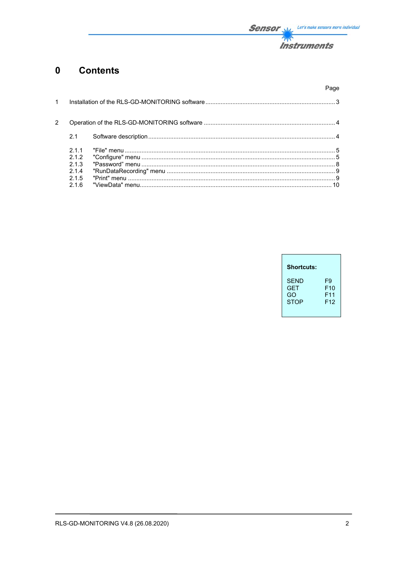

#### **Contents**  $\mathbf{0}$

|               |                | Page |
|---------------|----------------|------|
| $\mathbf{1}$  |                |      |
| $\mathcal{P}$ |                |      |
|               | 2.1            |      |
|               | 211<br>2.1.2   |      |
|               | 2.1.3<br>2.1.4 |      |
|               | 2.1.5<br>216   |      |

| <b>Shortcuts:</b> |                 |
|-------------------|-----------------|
| SFND              | F9              |
| <b>GFT</b>        | F <sub>10</sub> |
| GO                | F <sub>11</sub> |
| <b>STOP</b>       | F12             |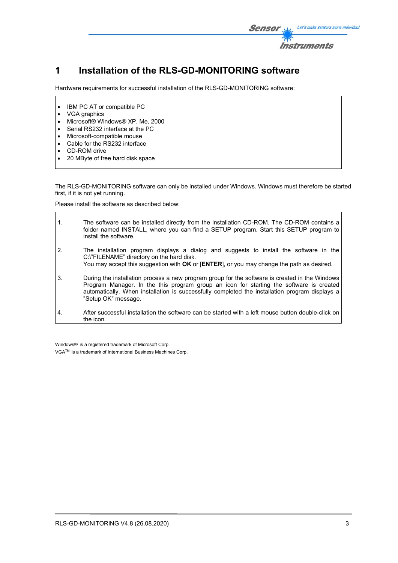

## **1 Installation of the RLS-GD-MONITORING software**

Hardware requirements for successful installation of the RLS-GD-MONITORING software:

- IBM PC AT or compatible PC
- VGA graphics
- Microsoft® Windows® XP, Me, 2000
- Serial RS232 interface at the PC
- Microsoft-compatible mouse
- Cable for the RS232 interface
- CD-ROM drive
- 20 MByte of free hard disk space

The RLS-GD-MONITORING software can only be installed under Windows. Windows must therefore be started first, if it is not yet running.

Please install the software as described below:

1. The software can be installed directly from the installation CD-ROM. The CD-ROM contains a folder named INSTALL, where you can find a SETUP program. Start this SETUP program to install the software. 2. The installation program displays a dialog and suggests to install the software in the C:\"FILENAME" directory on the hard disk. You may accept this suggestion with **OK** or [**ENTER**], or you may change the path as desired. 3. During the installation process a new program group for the software is created in the Windows Program Manager. In the this program group an icon for starting the software is created automatically. When installation is successfully completed the installation program displays a "Setup OK" message. 4. After successful installation the software can be started with a left mouse button double-click on the icon.

Windows® is a registered trademark of Microsoft Corp. VGATM is a trademark of International Business Machines Corp.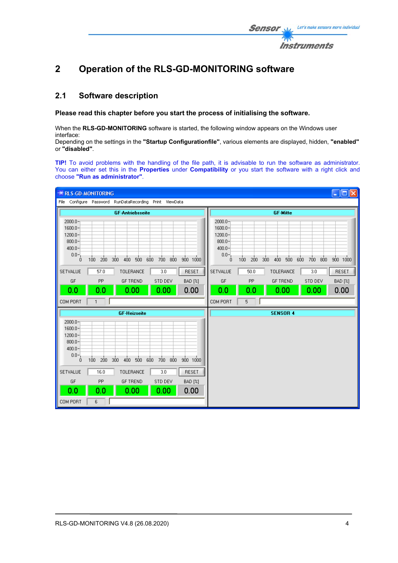

# **2 Operation of the RLS-GD-MONITORING software**

#### **2.1 Software description**

**Please read this chapter before you start the process of initialising the software.** 

When the **RLS-GD-MONITORING** software is started, the following window appears on the Windows user interface:

Depending on the settings in the **"Startup Configurationfile"**, various elements are displayed, hidden, **"enabled"** or **"disabled"**.

**TIP!** To avoid problems with the handling of the file path, it is advisable to run the software as administrator. You can either set this in the **Properties** under **Compatibility** or you start the software with a right click and choose **"Run as administrator"**.

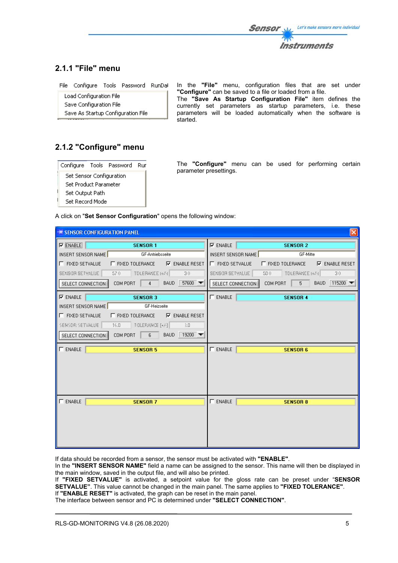

#### **2.1.1 "File" menu**

| File Configure Tools Password RunDal |  |  |
|--------------------------------------|--|--|
|                                      |  |  |

Load Configuration File Save Configuration File Save As Startup Configuration File In the **"File"** menu, configuration files that are set under **"Configure"** can be saved to a file or loaded from a file. The **"Save As Startup Configuration File"** item defines the currently set parameters as startup parameters, i.e. these parameters will be loaded automatically when the software is started.

### **2.1.2 "Configure" menu**

|                                 |  | Configure Tools Password | Rur |
|---------------------------------|--|--------------------------|-----|
| <b>Set Sensor Configuration</b> |  |                          |     |
| Set Product Parameter           |  |                          |     |
| Set Output Path                 |  |                          |     |
| Set Record Mode                 |  |                          |     |

The **"Configure"** menu can be used for performing certain parameter presettings.

A click on "**Set Sensor Configuration**" opens the following window:

| $\left[\times\right]$<br><b>EXAMPLE SENSOR CONFIGURATION PANEL</b>     |                                                                       |  |  |
|------------------------------------------------------------------------|-----------------------------------------------------------------------|--|--|
| $\nabla$ ENABLE<br><b>SENSOR 1</b>                                     | $\nabla$ ENABLE<br><b>SENSOR 2</b>                                    |  |  |
| INSERT SENSOR NAME<br>GF-Antriebsseite                                 | INSERT SENSOR NAME<br>GF-Mitte                                        |  |  |
| <b>F</b> FIXED SETVALUE<br>$\Box$ FIXED TOLERANCE $\Box$ ENABLE RESET  | <b>F</b> FIXED SETVALUE<br>$\Box$ FIXED TOLERANCE $\Box$ ENABLE RESET |  |  |
| 57.0 TOLERANCE (+/-) 30<br>SENSOR SETVALUE                             | 50.0<br>TOLERANCE (+/-) 30<br>SENSOR SETVALUE                         |  |  |
| COMPORT $4$ BAUD 57600<br>SELECT CONNECTION                            | COMPORT $\boxed{5}$<br>BAUD 115200<br>SELECT CONNECTION               |  |  |
| $\nabla$ ENABLE<br><b>SENSOR 3</b>                                     | $\Gamma$ ENABLE<br><b>SENSOR 4</b>                                    |  |  |
| INSERT SENSOR NAME<br>GF-Heizseite                                     |                                                                       |  |  |
| <b>IT FIXED SETVALUE</b><br>$\Box$ FIXED TOLERANCE $\Box$ ENABLE RESET |                                                                       |  |  |
| SENSOR SETVALUE  <br>16.0 TOLERANCE (+/-) 3.0                          |                                                                       |  |  |
| COM PORT 6 BAUD 19200<br>SELECT CONNECTION                             |                                                                       |  |  |
| $\Gamma$ enable<br><b>SENSOR 5</b>                                     | $\Gamma$ enable<br><b>SENSOR 6</b>                                    |  |  |
|                                                                        |                                                                       |  |  |
|                                                                        |                                                                       |  |  |
|                                                                        |                                                                       |  |  |
|                                                                        |                                                                       |  |  |
| $\Gamma$ ENABLE<br><b>SENSOR 7</b>                                     | $\Gamma$ ENABLE<br><b>SENSOR 8</b>                                    |  |  |
|                                                                        |                                                                       |  |  |
|                                                                        |                                                                       |  |  |
|                                                                        |                                                                       |  |  |
|                                                                        |                                                                       |  |  |
|                                                                        |                                                                       |  |  |

If data should be recorded from a sensor, the sensor must be activated with **"ENABLE"**.

In the **"INSERT SENSOR NAME"** field a name can be assigned to the sensor. This name will then be displayed in the main window, saved in the output file, and will also be printed.

If **"FIXED SETVALUE"** is activated, a setpoint value for the gloss rate can be preset under "**SENSOR SETVALUE"**. This value cannot be changed in the main panel. The same applies to **"FIXED TOLERANCE"**.

If **"ENABLE RESET"** is activated, the graph can be reset in the main panel.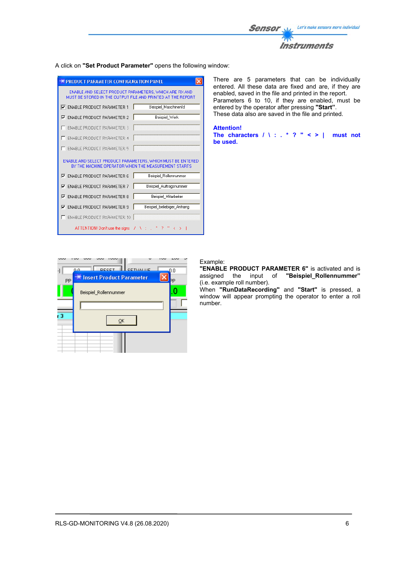

A click on **"Set Product Parameter"** opens the following window:

| <b>PRODUCT PARAMETER CONFIGURATION PANEL</b>                                                                           |                            |  |  |  |
|------------------------------------------------------------------------------------------------------------------------|----------------------------|--|--|--|
| ENABLE AND SELECT PRODUCT PARAMETERS, WHICH ARE FIX AND<br>MUST BE STORED IN THE OUTPUT FILE AND PRINTED AT THE REPORT |                            |  |  |  |
| <b>V</b> ENABLE PRODUCT PARAMETER 1                                                                                    | Beispiel MaschinenId       |  |  |  |
| <b>ENABLE PRODUCT PARAMETER 2</b><br>⊽                                                                                 | Beispiel Werk              |  |  |  |
| <b>ENABLE PRODUCT PARAMETER 3</b>                                                                                      |                            |  |  |  |
| <b>ENABLE PRODUCT PARAMETER 4</b>                                                                                      |                            |  |  |  |
| <b>ENABLE PRODUCT PARAMETER 5</b>                                                                                      |                            |  |  |  |
| ENABLE AND SELECT PRODUCT PARAMETERS. WHICH MUST BE ENTERED<br>BY THE MACHINE OPERATOR WHEN THE MEASUREMENT STARTS     |                            |  |  |  |
| <b>ENABLE PRODUCT PARAMETER 6</b><br>⊽                                                                                 | Beispiel_Rollennummer      |  |  |  |
| <b>ENABLE PRODUCT PARAMETER 7</b><br>⊽                                                                                 | Beispiel Auftragsnummer    |  |  |  |
| <b>ENABLE PRODUCT PARAMETER 8</b><br>⊽                                                                                 | Beispiel Mitarbeiter       |  |  |  |
| <b>ENABLE PRODUCT PARAMETER 9</b><br>⊽                                                                                 | Beispiel beliebiger Anhang |  |  |  |
| <b>ENABLE PRODUCT PARAMETER 10</b><br>Į                                                                                |                            |  |  |  |
| ATTENTION! Don't use the signs                                                                                         |                            |  |  |  |

There are 5 parameters that can be individually entered. All these data are fixed and are, if they are enabled, saved in the file and printed in the report. Parameters 6 to 10, if they are enabled, must be entered by the operator after pressing **"Start"**. These data also are saved in the file and printed.

**Attention! The characters / \ : . \* ? " < > | must not**

**be used.**

**DECE3** CETVALUE  $\overline{0.0}$ **Insert Product Parameter** þр PF 0 Beispiel\_Rollennummer - 3  $\underline{\mathsf{QK}}$ 

#### Example:

**"ENABLE PRODUCT PARAMETER 6"** is activated and is assigned the input of **"Beispiel\_Rollennummer"** (i.e. example roll number).

When **"RunDataRecording"** and **"Start"** is pressed, a window will appear prompting the operator to enter a roll number.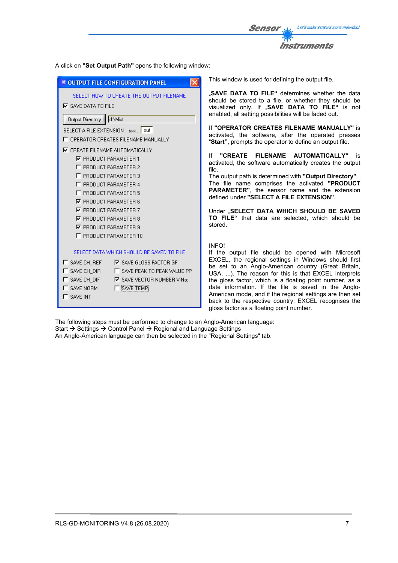

A click on **"Set Output Path"** opens the following window:

| <del>※</del> OUTPUT FILE CONFIGURATION PANEL                                                                                                                                                                                                                                                   | This window is used for defining the output file.                                                                                                                                                                                                                                                                                                                                                                                                                                                                             |  |
|------------------------------------------------------------------------------------------------------------------------------------------------------------------------------------------------------------------------------------------------------------------------------------------------|-------------------------------------------------------------------------------------------------------------------------------------------------------------------------------------------------------------------------------------------------------------------------------------------------------------------------------------------------------------------------------------------------------------------------------------------------------------------------------------------------------------------------------|--|
| SELECT HOW TO CREATE THE OUTPUT FILENAME<br>$\nabla$ SAVE DATA TO FILE<br>d:\Mist<br>Output Directory                                                                                                                                                                                          | "SAVE DATA TO FILE" determines whether the data<br>should be stored to a file, or whether they should be<br>visualized only. If "SAVE DATA TO FILE" is not<br>enabled, all setting possibilities will be faded out.                                                                                                                                                                                                                                                                                                           |  |
| SELECT A FILE EXTENSION xxx. out<br>T OPERATOR CREATES FILENAME MANUALLY                                                                                                                                                                                                                       | If "OPERATOR CREATES FILENAME MANUALLY" is<br>activated, the software, after the operated presses<br>"Start", prompts the operator to define an output file.                                                                                                                                                                                                                                                                                                                                                                  |  |
| <b>IZ</b> CREATE FILENAME AUTOMATICALLY<br>$\nabla$ PRODUCT PARAMETER 1<br>F PRODUCT PARAMETER 2<br>F PRODUCT PARAMETER 3<br>F PRODUCT PARAMETER 4                                                                                                                                             | <b>"CREATE</b><br><b>FILENAME</b><br><b>AUTOMATICALLY"</b><br>lf<br>İS<br>activated, the software automatically creates the output<br>file.<br>The output path is determined with "Output Directory".<br>The file name comprises the activated "PRODUCT                                                                                                                                                                                                                                                                       |  |
| F PRODUCT PARAMETER 5<br>$\nabla$ PRODUCT PARAMETER 6                                                                                                                                                                                                                                          | <b>PARAMETER"</b> , the sensor name and the extension<br>defined under "SELECT A FILE EXTENSION".                                                                                                                                                                                                                                                                                                                                                                                                                             |  |
| <b>▽ PRODUCT PARAMETER 7</b><br>$\nabla$ PRODUCT PARAMETER 8<br>$\nabla$ PRODUCT PARAMETER 9<br>F PRODUCT PARAMETER 10                                                                                                                                                                         | Under "SELECT DATA WHICH SHOULD BE SAVED<br>TO FILE" that data are selected, which should be<br>stored.                                                                                                                                                                                                                                                                                                                                                                                                                       |  |
| SELECT DATA WHICH SHOULD BE SAVED TO FILE<br>$\Gamma$ save CH REF<br>$\nabla$ SAVE GLOSS FACTOR GF<br><b>IT SAVE CH_DIR</b><br>F SAVE PEAK TO PEAK VALUE PP<br><b>IT SAVE CH_DIF</b><br><b>IZ</b> SAVE VECTOR NUMBER V-No:<br>$\Gamma$ SAVE NORM.<br><b>TE SAVE TEMP!</b><br>$\Gamma$ SAVE INT | <b>INFO!</b><br>If the output file should be opened with Microsoft<br>EXCEL, the regional settings in Windows should first<br>be set to an Anglo-American country (Great Britain,<br>USA, ). The reason for this is that EXCEL interprets<br>the gloss factor, which is a floating point number, as a<br>date information. If the file is saved in the Anglo-<br>American mode, and if the regional settings are then set<br>back to the respective country, EXCEL recognises the<br>gloss factor as a floating point number. |  |

The following steps must be performed to change to an Anglo-American language: Start  $\rightarrow$  Settings  $\rightarrow$  Control Panel  $\rightarrow$  Regional and Language Settings

An Anglo-American language can then be selected in the "Regional Settings" tab.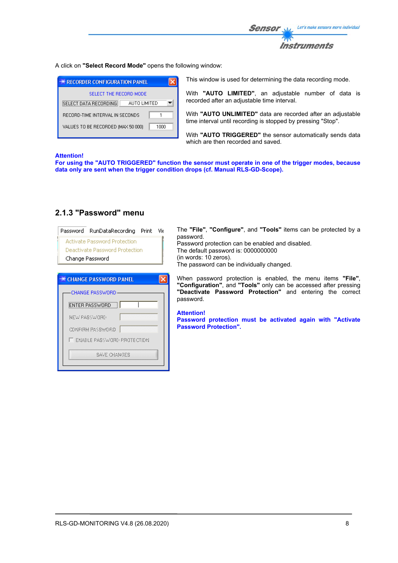

A click on **"Select Record Mode"** opens the following window:

| <b>** RECORDER CONFIGURATION PANEL</b>     |  |  |  |
|--------------------------------------------|--|--|--|
| SELECT THE RECORD MODE                     |  |  |  |
| SELECT DATA RECORDING<br>AUTO LIMITED      |  |  |  |
| RECORD-TIME INTERVAL IN SECONDS            |  |  |  |
| VALUES TO BE RECORDED (MAX 50 000)<br>1000 |  |  |  |

This window is used for determining the data recording mode.

With **"AUTO LIMITED"**, an adjustable number of data is recorded after an adjustable time interval.

With **"AUTO UNLIMITED"** data are recorded after an adjustable time interval until recording is stopped by pressing "Stop".

With **"AUTO TRIGGERED"** the sensor automatically sends data which are then recorded and saved.

#### **Attention!**

**For using the "AUTO TRIGGERED" function the sensor must operate in one of the trigger modes, because data only are sent when the trigger condition drops (cf. Manual RLS-GD-Scope).**

#### **2.1.3 "Password" menu**

| <b>Activate Password Protection</b>                      | password.                                                   |
|----------------------------------------------------------|-------------------------------------------------------------|
| <b>Deactivate Password Protection</b><br>Change Password | Password protec<br>The default pass<br>(in words: 10 zer    |
|                                                          | The password ca                                             |
| <b>※ CHANGE PASSWORD PANEL</b>                           | When password<br>"Configuration"                            |
| <b>CHANGE PASSWORD-</b>                                  | "Deactivate Pa<br>password.                                 |
| <b>ENTER PASSWORD</b>                                    |                                                             |
| NEW PASSWORD                                             | <b>Attention!</b><br>Password prot<br><b>Password Prote</b> |
| CONFIRM PASSWORD                                         |                                                             |
| IT ENABLE PASSWORD PROTECTION                            |                                                             |
| Save Changes                                             |                                                             |

nfigure", and "Tools" items can be protected by a

ction can be enabled and disabled. word is: 0000000000 ros). an be individually changed.

d protection is enabled, the menu items "File", ", and "**Tools**" only can be accessed after pressing assword Protection" and entering the correct

**Password protection must be activated again with "Activate Passion".**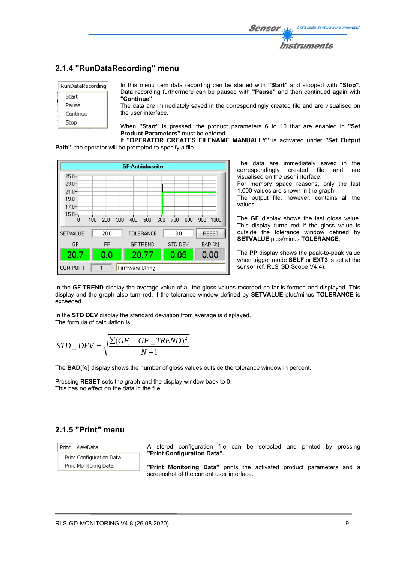### **2.1.4 "RunDataRecording" menu**

| RunDataRecording |  |
|------------------|--|
| Start            |  |
| Pause            |  |
| Continue         |  |
| Stop             |  |

In this menu item data recording can be started with **"Start"** and stopped with **"Stop"**. Data recording furthermore can be paused with **"Pause"** and then continued again with **"Continue"**.

The data are immediately saved in the correspondingly created file and are visualised on the user interface.

When **"Start"** is pressed, the product parameters 6 to 10 that are enabled in **"Set Product Parameters"** must be entered.

If **"OPERATOR CREATES FILENAME MANUALLY"** is activated under **"Set Output Path"**, the operator will be prompted to specify a file.



The data are immediately saved in the correspondingly created file and are correspondingly created file and are visualised on the user interface.

For memory space reasons, only the last 1,000 values are shown in the graph.

The output file, however, contains all the values.

The **GF** display shows the last gloss value. This display turns red if the gloss value is outside the tolerance window defined by **SETVALUE** plus/minus **TOLERANCE**.

The **PP** display shows the peak-to-peak value when trigger mode **SELF** or **EXT3** is set at the sensor (cf. RLS GD Scope V4.4).

In the GF TREND display the average value of all the gloss values recorded so far is formed and displayed. This display and the graph also turn red, if the tolerance window defined by **SETVALUE** plus/minus **TOLERANCE** is exceeded.

In the **STD DEV** display the standard deviation from average is displayed. The formula of calculation is:

$$
STD\_DEV = \sqrt{\frac{\sum (GF_i - GF\_TREND)^2}{N-1}}
$$

The **BAD[%]** display shows the number of gloss values outside the tolerance window in percent.

Pressing **RESET** sets the graph and the display window back to 0. This has no effect on the data in the file.

### **2.1.5 "Print" menu**

Print ViewData

Print Configuration Data Print Monitoring Data

A stored configuration file can be selected and printed by pressing **"Print Configuration Data".**

**"Print Monitoring Data"** prints the activated product parameters and a screenshot of the current user interface.